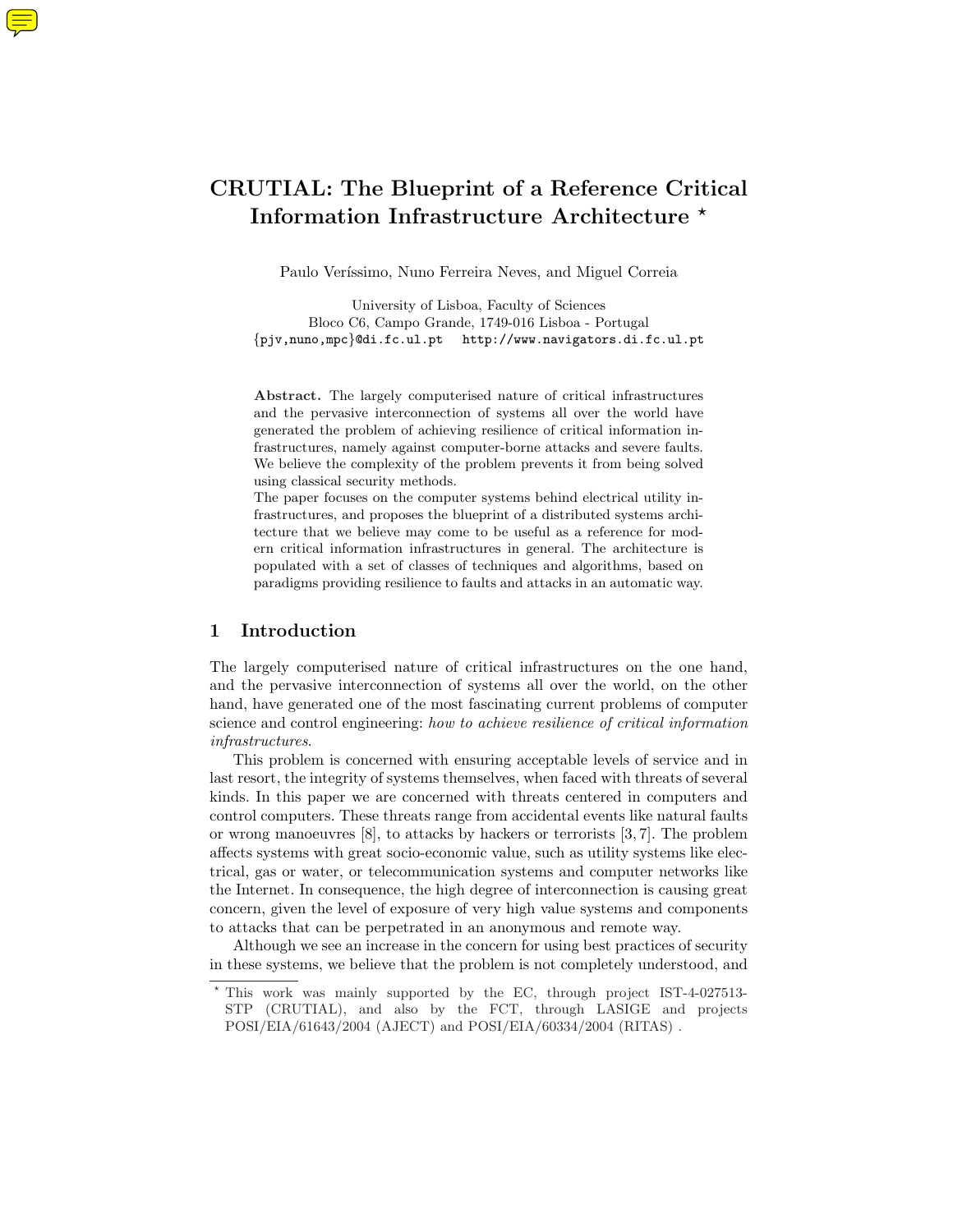# CRUTIAL: The Blueprint of a Reference Critical Information Infrastructure Architecture \*

Paulo Veríssimo, Nuno Ferreira Neves, and Miguel Correia

University of Lisboa, Faculty of Sciences Bloco C6, Campo Grande, 1749-016 Lisboa - Portugal {pjv,nuno,mpc}@di.fc.ul.pt http://www.navigators.di.fc.ul.pt

Abstract. The largely computerised nature of critical infrastructures and the pervasive interconnection of systems all over the world have generated the problem of achieving resilience of critical information infrastructures, namely against computer-borne attacks and severe faults. We believe the complexity of the problem prevents it from being solved using classical security methods.

The paper focuses on the computer systems behind electrical utility infrastructures, and proposes the blueprint of a distributed systems architecture that we believe may come to be useful as a reference for modern critical information infrastructures in general. The architecture is populated with a set of classes of techniques and algorithms, based on paradigms providing resilience to faults and attacks in an automatic way.

## 1 Introduction

The largely computerised nature of critical infrastructures on the one hand, and the pervasive interconnection of systems all over the world, on the other hand, have generated one of the most fascinating current problems of computer science and control engineering: how to achieve resilience of critical information infrastructures.

This problem is concerned with ensuring acceptable levels of service and in last resort, the integrity of systems themselves, when faced with threats of several kinds. In this paper we are concerned with threats centered in computers and control computers. These threats range from accidental events like natural faults or wrong manoeuvres [8], to attacks by hackers or terrorists [3, 7]. The problem affects systems with great socio-economic value, such as utility systems like electrical, gas or water, or telecommunication systems and computer networks like the Internet. In consequence, the high degree of interconnection is causing great concern, given the level of exposure of very high value systems and components to attacks that can be perpetrated in an anonymous and remote way.

Although we see an increase in the concern for using best practices of security in these systems, we believe that the problem is not completely understood, and

<sup>?</sup> This work was mainly supported by the EC, through project IST-4-027513- STP (CRUTIAL), and also by the FCT, through LASIGE and projects POSI/EIA/61643/2004 (AJECT) and POSI/EIA/60334/2004 (RITAS) .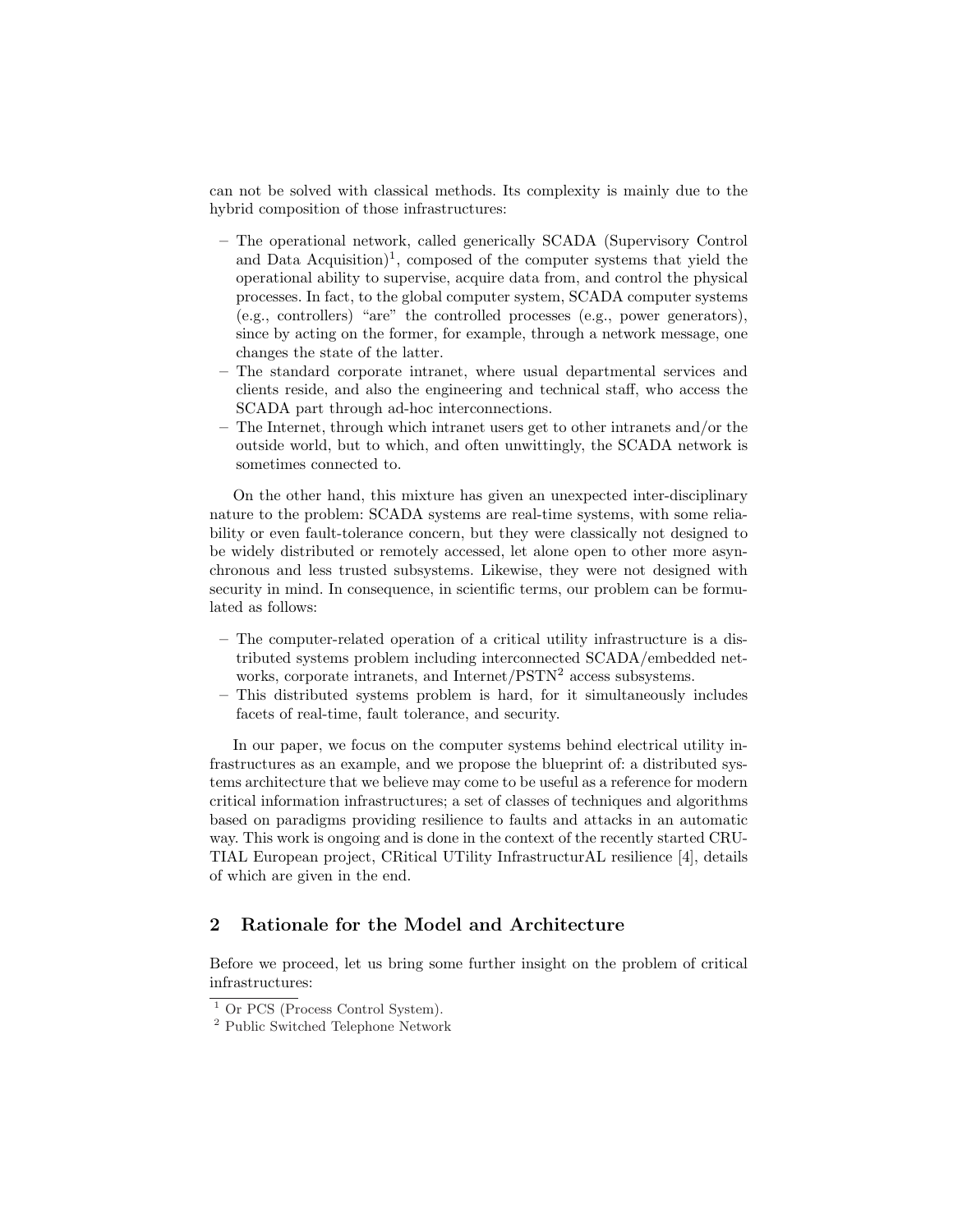can not be solved with classical methods. Its complexity is mainly due to the hybrid composition of those infrastructures:

- The operational network, called generically SCADA (Supervisory Control and Data Acquisition)<sup>1</sup>, composed of the computer systems that yield the operational ability to supervise, acquire data from, and control the physical processes. In fact, to the global computer system, SCADA computer systems (e.g., controllers) "are" the controlled processes (e.g., power generators), since by acting on the former, for example, through a network message, one changes the state of the latter.
- The standard corporate intranet, where usual departmental services and clients reside, and also the engineering and technical staff, who access the SCADA part through ad-hoc interconnections.
- The Internet, through which intranet users get to other intranets and/or the outside world, but to which, and often unwittingly, the SCADA network is sometimes connected to.

On the other hand, this mixture has given an unexpected inter-disciplinary nature to the problem: SCADA systems are real-time systems, with some reliability or even fault-tolerance concern, but they were classically not designed to be widely distributed or remotely accessed, let alone open to other more asynchronous and less trusted subsystems. Likewise, they were not designed with security in mind. In consequence, in scientific terms, our problem can be formulated as follows:

- The computer-related operation of a critical utility infrastructure is a distributed systems problem including interconnected SCADA/embedded networks, corporate intranets, and Internet/PSTN<sup>2</sup> access subsystems.
- This distributed systems problem is hard, for it simultaneously includes facets of real-time, fault tolerance, and security.

In our paper, we focus on the computer systems behind electrical utility infrastructures as an example, and we propose the blueprint of: a distributed systems architecture that we believe may come to be useful as a reference for modern critical information infrastructures; a set of classes of techniques and algorithms based on paradigms providing resilience to faults and attacks in an automatic way. This work is ongoing and is done in the context of the recently started CRU-TIAL European project, CRitical UTility InfrastructurAL resilience [4], details of which are given in the end.

# 2 Rationale for the Model and Architecture

Before we proceed, let us bring some further insight on the problem of critical infrastructures:

 $1$  Or PCS (Process Control System).

<sup>2</sup> Public Switched Telephone Network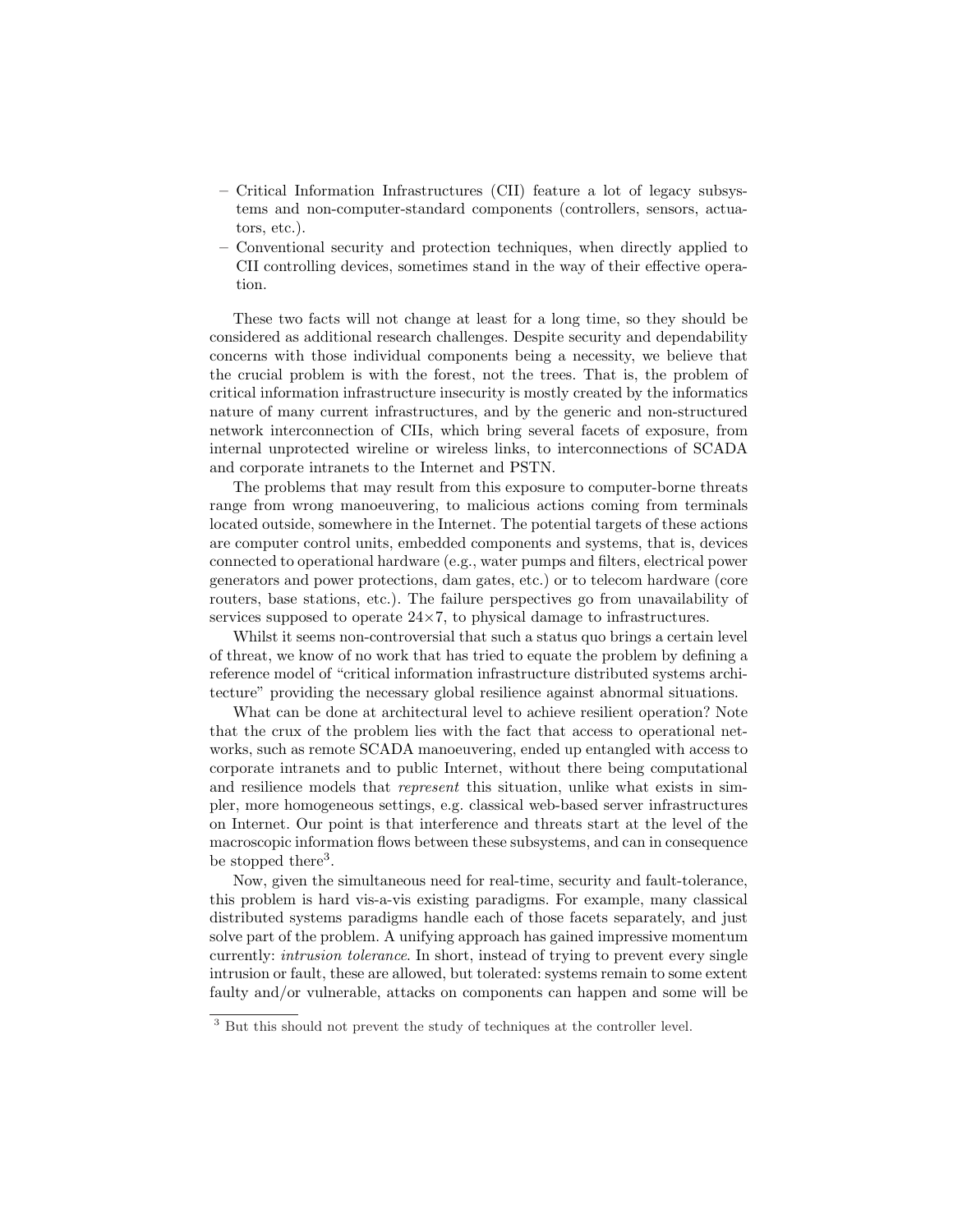- Critical Information Infrastructures (CII) feature a lot of legacy subsystems and non-computer-standard components (controllers, sensors, actuators, etc.).
- Conventional security and protection techniques, when directly applied to CII controlling devices, sometimes stand in the way of their effective operation.

These two facts will not change at least for a long time, so they should be considered as additional research challenges. Despite security and dependability concerns with those individual components being a necessity, we believe that the crucial problem is with the forest, not the trees. That is, the problem of critical information infrastructure insecurity is mostly created by the informatics nature of many current infrastructures, and by the generic and non-structured network interconnection of CIIs, which bring several facets of exposure, from internal unprotected wireline or wireless links, to interconnections of SCADA and corporate intranets to the Internet and PSTN.

The problems that may result from this exposure to computer-borne threats range from wrong manoeuvering, to malicious actions coming from terminals located outside, somewhere in the Internet. The potential targets of these actions are computer control units, embedded components and systems, that is, devices connected to operational hardware (e.g., water pumps and filters, electrical power generators and power protections, dam gates, etc.) or to telecom hardware (core routers, base stations, etc.). The failure perspectives go from unavailability of services supposed to operate  $24 \times 7$ , to physical damage to infrastructures.

Whilst it seems non-controversial that such a status quo brings a certain level of threat, we know of no work that has tried to equate the problem by defining a reference model of "critical information infrastructure distributed systems architecture" providing the necessary global resilience against abnormal situations.

What can be done at architectural level to achieve resilient operation? Note that the crux of the problem lies with the fact that access to operational networks, such as remote SCADA manoeuvering, ended up entangled with access to corporate intranets and to public Internet, without there being computational and resilience models that represent this situation, unlike what exists in simpler, more homogeneous settings, e.g. classical web-based server infrastructures on Internet. Our point is that interference and threats start at the level of the macroscopic information flows between these subsystems, and can in consequence be stopped there<sup>3</sup>.

Now, given the simultaneous need for real-time, security and fault-tolerance, this problem is hard vis-a-vis existing paradigms. For example, many classical distributed systems paradigms handle each of those facets separately, and just solve part of the problem. A unifying approach has gained impressive momentum currently: intrusion tolerance. In short, instead of trying to prevent every single intrusion or fault, these are allowed, but tolerated: systems remain to some extent faulty and/or vulnerable, attacks on components can happen and some will be

<sup>&</sup>lt;sup>3</sup> But this should not prevent the study of techniques at the controller level.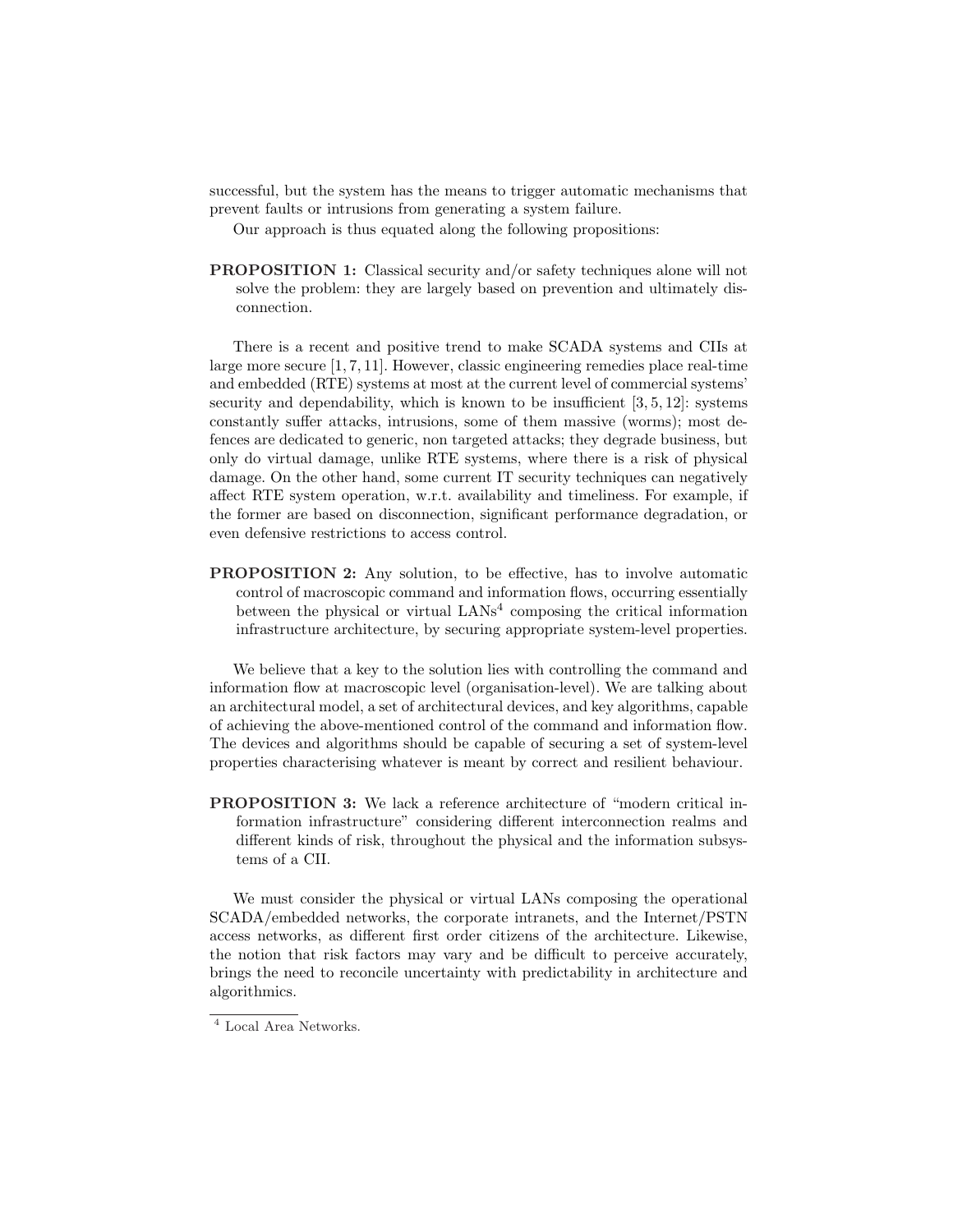successful, but the system has the means to trigger automatic mechanisms that prevent faults or intrusions from generating a system failure.

Our approach is thus equated along the following propositions:

PROPOSITION 1: Classical security and/or safety techniques alone will not solve the problem: they are largely based on prevention and ultimately disconnection.

There is a recent and positive trend to make SCADA systems and CIIs at large more secure [1, 7, 11]. However, classic engineering remedies place real-time and embedded (RTE) systems at most at the current level of commercial systems' security and dependability, which is known to be insufficient  $[3, 5, 12]$ : systems constantly suffer attacks, intrusions, some of them massive (worms); most defences are dedicated to generic, non targeted attacks; they degrade business, but only do virtual damage, unlike RTE systems, where there is a risk of physical damage. On the other hand, some current IT security techniques can negatively affect RTE system operation, w.r.t. availability and timeliness. For example, if the former are based on disconnection, significant performance degradation, or even defensive restrictions to access control.

PROPOSITION 2: Any solution, to be effective, has to involve automatic control of macroscopic command and information flows, occurring essentially between the physical or virtual LANs<sup>4</sup> composing the critical information infrastructure architecture, by securing appropriate system-level properties.

We believe that a key to the solution lies with controlling the command and information flow at macroscopic level (organisation-level). We are talking about an architectural model, a set of architectural devices, and key algorithms, capable of achieving the above-mentioned control of the command and information flow. The devices and algorithms should be capable of securing a set of system-level properties characterising whatever is meant by correct and resilient behaviour.

PROPOSITION 3: We lack a reference architecture of "modern critical information infrastructure" considering different interconnection realms and different kinds of risk, throughout the physical and the information subsystems of a CII.

We must consider the physical or virtual LANs composing the operational SCADA/embedded networks, the corporate intranets, and the Internet/PSTN access networks, as different first order citizens of the architecture. Likewise, the notion that risk factors may vary and be difficult to perceive accurately, brings the need to reconcile uncertainty with predictability in architecture and algorithmics.

<sup>4</sup> Local Area Networks.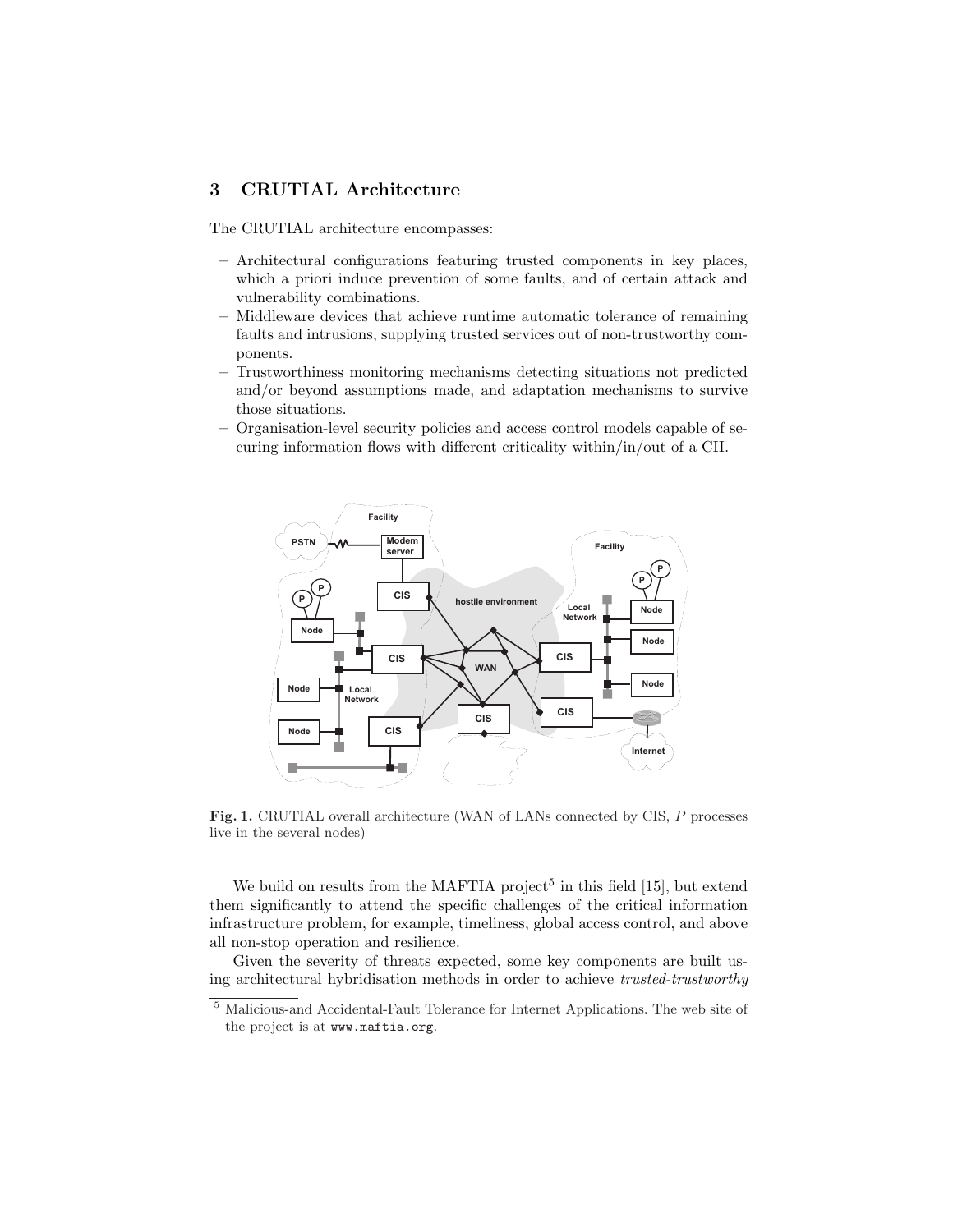# 3 CRUTIAL Architecture

The CRUTIAL architecture encompasses:

- Architectural configurations featuring trusted components in key places, which a priori induce prevention of some faults, and of certain attack and vulnerability combinations.
- Middleware devices that achieve runtime automatic tolerance of remaining faults and intrusions, supplying trusted services out of non-trustworthy components.
- Trustworthiness monitoring mechanisms detecting situations not predicted and/or beyond assumptions made, and adaptation mechanisms to survive those situations.
- Organisation-level security policies and access control models capable of securing information flows with different criticality within/in/out of a CII.



Fig. 1. CRUTIAL overall architecture (WAN of LANs connected by CIS, P processes live in the several nodes)

We build on results from the MAFTIA project<sup>5</sup> in this field  $[15]$ , but extend them significantly to attend the specific challenges of the critical information infrastructure problem, for example, timeliness, global access control, and above all non-stop operation and resilience.

Given the severity of threats expected, some key components are built using architectural hybridisation methods in order to achieve trusted-trustworthy

<sup>5</sup> Malicious-and Accidental-Fault Tolerance for Internet Applications. The web site of the project is at www.maftia.org.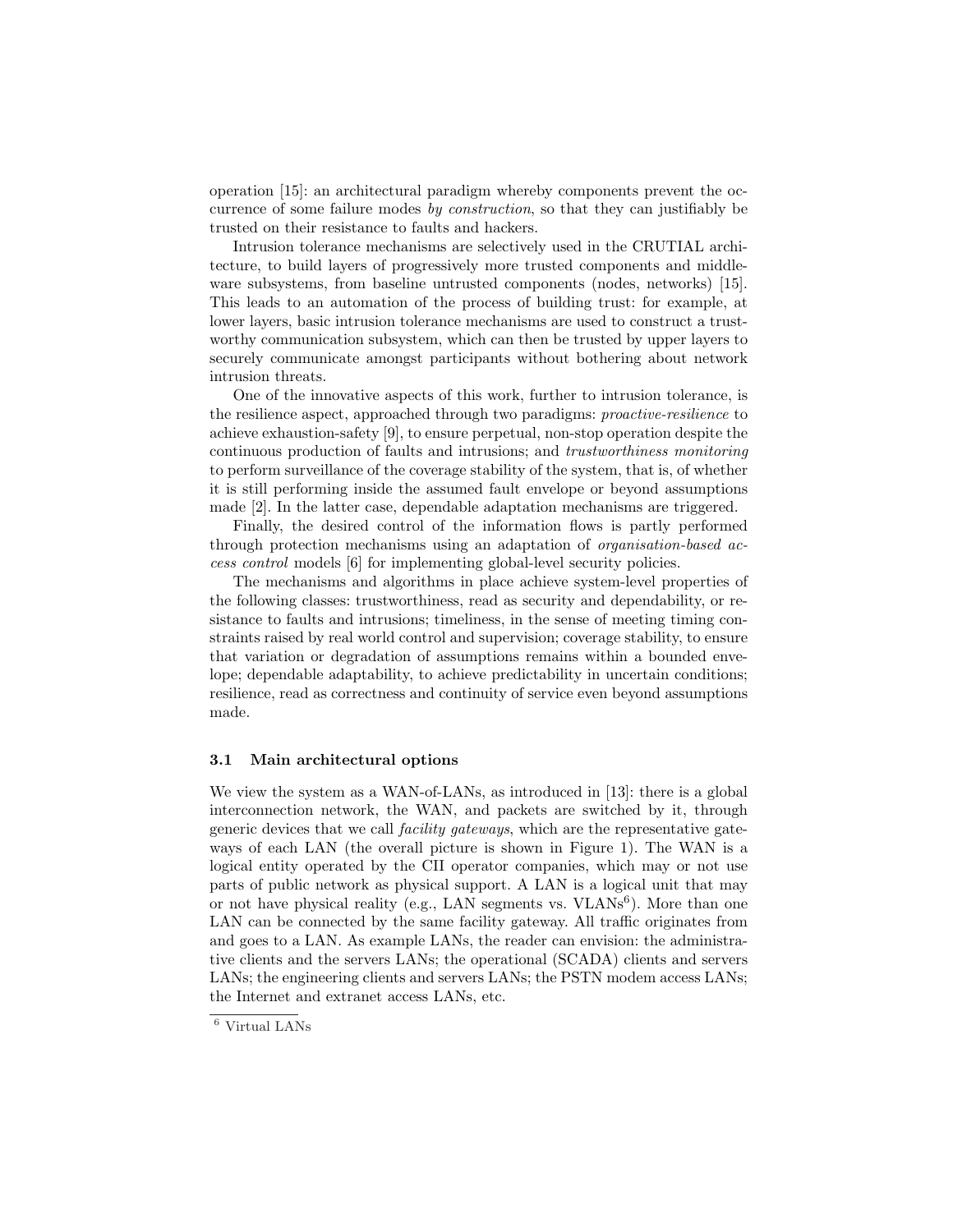operation [15]: an architectural paradigm whereby components prevent the occurrence of some failure modes by construction, so that they can justifiably be trusted on their resistance to faults and hackers.

Intrusion tolerance mechanisms are selectively used in the CRUTIAL architecture, to build layers of progressively more trusted components and middleware subsystems, from baseline untrusted components (nodes, networks) [15]. This leads to an automation of the process of building trust: for example, at lower layers, basic intrusion tolerance mechanisms are used to construct a trustworthy communication subsystem, which can then be trusted by upper layers to securely communicate amongst participants without bothering about network intrusion threats.

One of the innovative aspects of this work, further to intrusion tolerance, is the resilience aspect, approached through two paradigms: proactive-resilience to achieve exhaustion-safety [9], to ensure perpetual, non-stop operation despite the continuous production of faults and intrusions; and trustworthiness monitoring to perform surveillance of the coverage stability of the system, that is, of whether it is still performing inside the assumed fault envelope or beyond assumptions made [2]. In the latter case, dependable adaptation mechanisms are triggered.

Finally, the desired control of the information flows is partly performed through protection mechanisms using an adaptation of organisation-based access control models [6] for implementing global-level security policies.

The mechanisms and algorithms in place achieve system-level properties of the following classes: trustworthiness, read as security and dependability, or resistance to faults and intrusions; timeliness, in the sense of meeting timing constraints raised by real world control and supervision; coverage stability, to ensure that variation or degradation of assumptions remains within a bounded envelope; dependable adaptability, to achieve predictability in uncertain conditions; resilience, read as correctness and continuity of service even beyond assumptions made.

#### 3.1 Main architectural options

We view the system as a WAN-of-LANs, as introduced in [13]: there is a global interconnection network, the WAN, and packets are switched by it, through generic devices that we call facility gateways, which are the representative gateways of each LAN (the overall picture is shown in Figure 1). The WAN is a logical entity operated by the CII operator companies, which may or not use parts of public network as physical support. A LAN is a logical unit that may or not have physical reality (e.g., LAN segments vs. VLANs<sup>6</sup>). More than one LAN can be connected by the same facility gateway. All traffic originates from and goes to a LAN. As example LANs, the reader can envision: the administrative clients and the servers LANs; the operational (SCADA) clients and servers LANs; the engineering clients and servers LANs; the PSTN modem access LANs; the Internet and extranet access LANs, etc.

 $\overline{\textbf{6}}$ Virtual LANs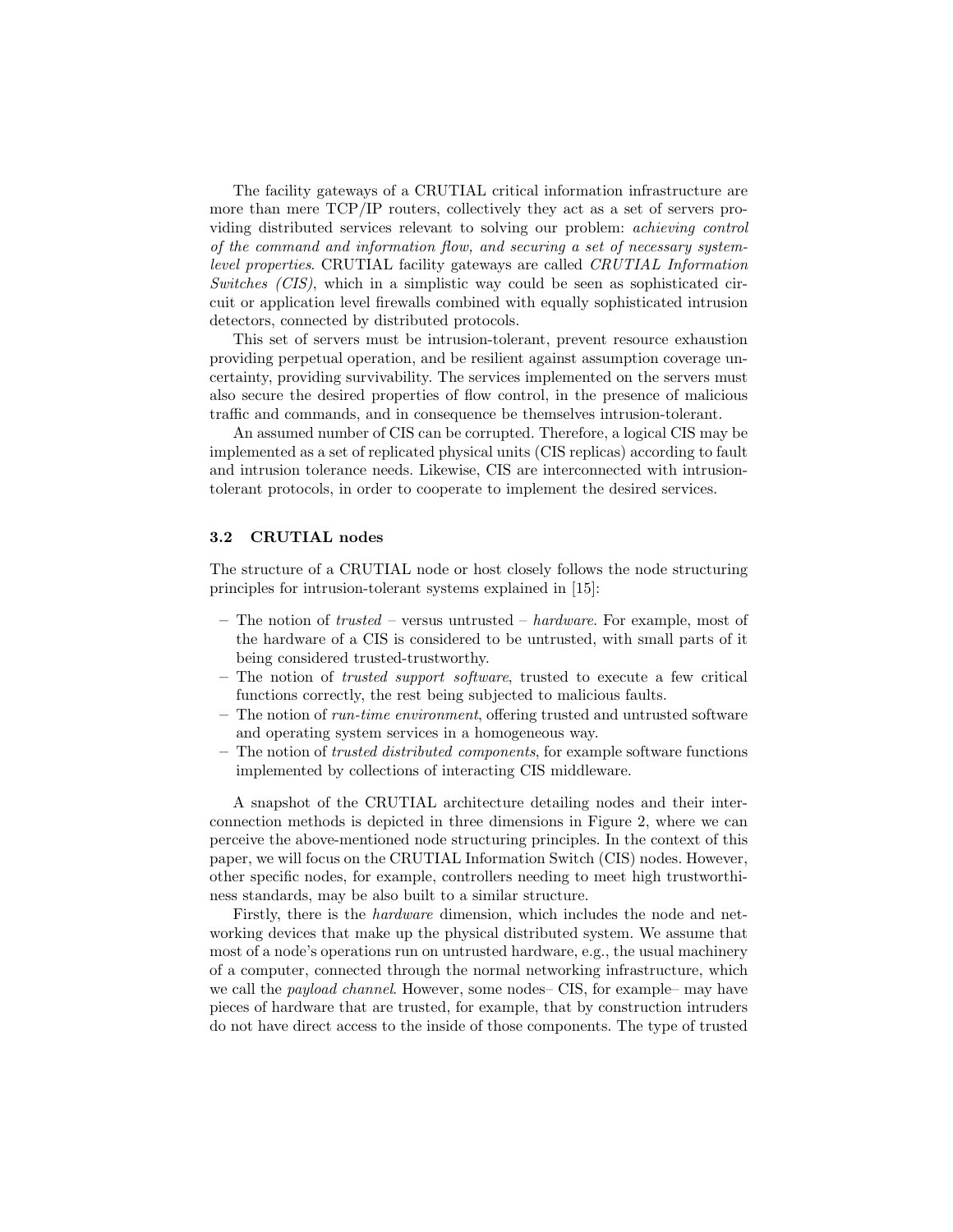The facility gateways of a CRUTIAL critical information infrastructure are more than mere TCP/IP routers, collectively they act as a set of servers providing distributed services relevant to solving our problem: achieving control of the command and information flow, and securing a set of necessary systemlevel properties. CRUTIAL facility gateways are called CRUTIAL Information Switches (CIS), which in a simplistic way could be seen as sophisticated circuit or application level firewalls combined with equally sophisticated intrusion detectors, connected by distributed protocols.

This set of servers must be intrusion-tolerant, prevent resource exhaustion providing perpetual operation, and be resilient against assumption coverage uncertainty, providing survivability. The services implemented on the servers must also secure the desired properties of flow control, in the presence of malicious traffic and commands, and in consequence be themselves intrusion-tolerant.

An assumed number of CIS can be corrupted. Therefore, a logical CIS may be implemented as a set of replicated physical units (CIS replicas) according to fault and intrusion tolerance needs. Likewise, CIS are interconnected with intrusiontolerant protocols, in order to cooperate to implement the desired services.

#### 3.2 CRUTIAL nodes

The structure of a CRUTIAL node or host closely follows the node structuring principles for intrusion-tolerant systems explained in [15]:

- The notion of trusted versus untrusted hardware. For example, most of the hardware of a CIS is considered to be untrusted, with small parts of it being considered trusted-trustworthy.
- The notion of trusted support software, trusted to execute a few critical functions correctly, the rest being subjected to malicious faults.
- $-$  The notion of *run-time environment*, offering trusted and untrusted software and operating system services in a homogeneous way.
- The notion of trusted distributed components, for example software functions implemented by collections of interacting CIS middleware.

A snapshot of the CRUTIAL architecture detailing nodes and their interconnection methods is depicted in three dimensions in Figure 2, where we can perceive the above-mentioned node structuring principles. In the context of this paper, we will focus on the CRUTIAL Information Switch (CIS) nodes. However, other specific nodes, for example, controllers needing to meet high trustworthiness standards, may be also built to a similar structure.

Firstly, there is the hardware dimension, which includes the node and networking devices that make up the physical distributed system. We assume that most of a node's operations run on untrusted hardware, e.g., the usual machinery of a computer, connected through the normal networking infrastructure, which we call the payload channel. However, some nodes– CIS, for example– may have pieces of hardware that are trusted, for example, that by construction intruders do not have direct access to the inside of those components. The type of trusted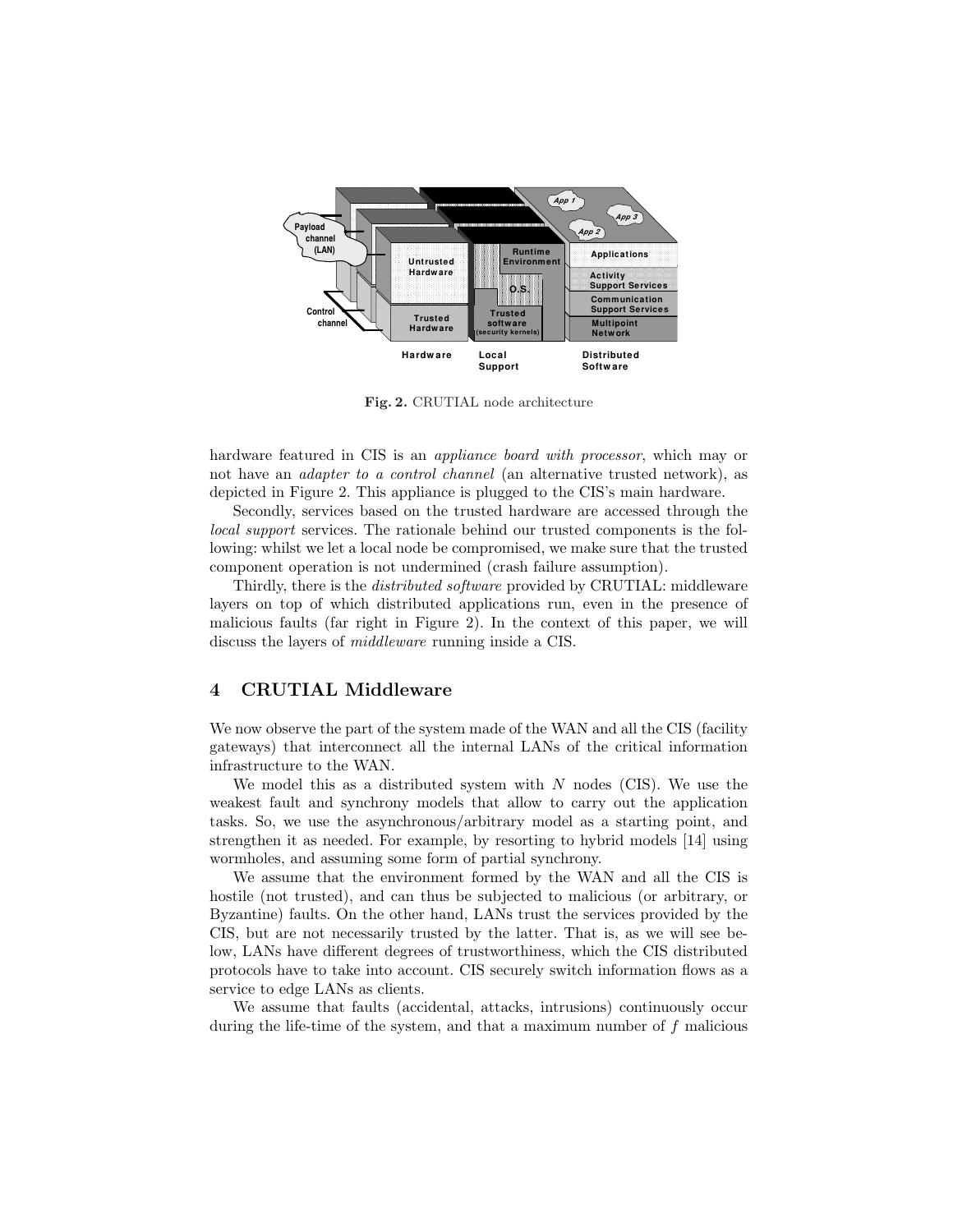

Fig. 2. CRUTIAL node architecture

hardware featured in CIS is an *appliance board with processor*, which may or not have an *adapter to a control channel* (an alternative trusted network), as depicted in Figure 2. This appliance is plugged to the CIS's main hardware.

Secondly, services based on the trusted hardware are accessed through the local support services. The rationale behind our trusted components is the following: whilst we let a local node be compromised, we make sure that the trusted component operation is not undermined (crash failure assumption).

Thirdly, there is the distributed software provided by CRUTIAL: middleware layers on top of which distributed applications run, even in the presence of malicious faults (far right in Figure 2). In the context of this paper, we will discuss the layers of middleware running inside a CIS.

## 4 CRUTIAL Middleware

We now observe the part of the system made of the WAN and all the CIS (facility gateways) that interconnect all the internal LANs of the critical information infrastructure to the WAN.

We model this as a distributed system with  $N$  nodes (CIS). We use the weakest fault and synchrony models that allow to carry out the application tasks. So, we use the asynchronous/arbitrary model as a starting point, and strengthen it as needed. For example, by resorting to hybrid models [14] using wormholes, and assuming some form of partial synchrony.

We assume that the environment formed by the WAN and all the CIS is hostile (not trusted), and can thus be subjected to malicious (or arbitrary, or Byzantine) faults. On the other hand, LANs trust the services provided by the CIS, but are not necessarily trusted by the latter. That is, as we will see below, LANs have different degrees of trustworthiness, which the CIS distributed protocols have to take into account. CIS securely switch information flows as a service to edge LANs as clients.

We assume that faults (accidental, attacks, intrusions) continuously occur during the life-time of the system, and that a maximum number of f malicious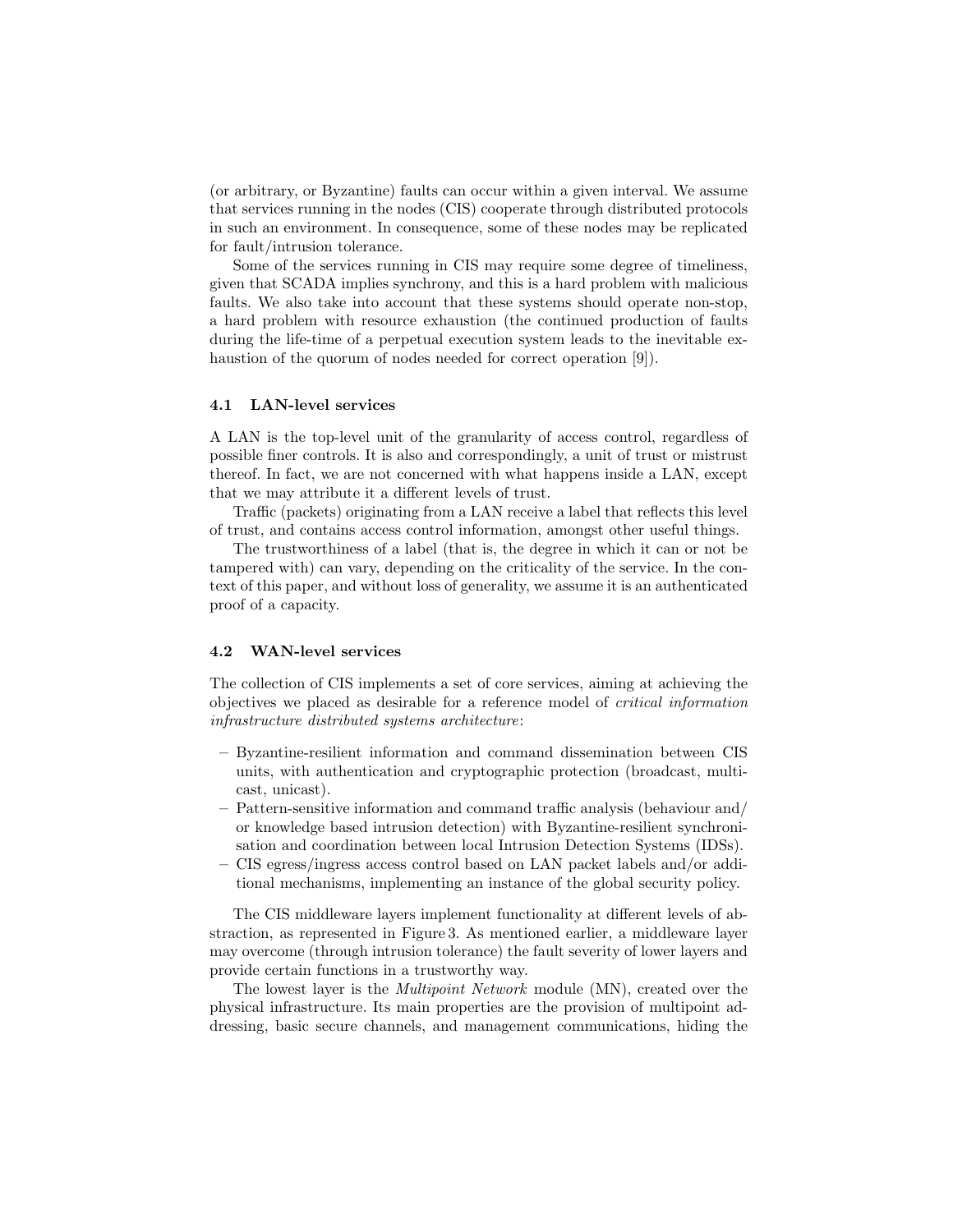(or arbitrary, or Byzantine) faults can occur within a given interval. We assume that services running in the nodes (CIS) cooperate through distributed protocols in such an environment. In consequence, some of these nodes may be replicated for fault/intrusion tolerance.

Some of the services running in CIS may require some degree of timeliness, given that SCADA implies synchrony, and this is a hard problem with malicious faults. We also take into account that these systems should operate non-stop, a hard problem with resource exhaustion (the continued production of faults during the life-time of a perpetual execution system leads to the inevitable exhaustion of the quorum of nodes needed for correct operation [9]).

#### 4.1 LAN-level services

A LAN is the top-level unit of the granularity of access control, regardless of possible finer controls. It is also and correspondingly, a unit of trust or mistrust thereof. In fact, we are not concerned with what happens inside a LAN, except that we may attribute it a different levels of trust.

Traffic (packets) originating from a LAN receive a label that reflects this level of trust, and contains access control information, amongst other useful things.

The trustworthiness of a label (that is, the degree in which it can or not be tampered with) can vary, depending on the criticality of the service. In the context of this paper, and without loss of generality, we assume it is an authenticated proof of a capacity.

### 4.2 WAN-level services

The collection of CIS implements a set of core services, aiming at achieving the objectives we placed as desirable for a reference model of critical information infrastructure distributed systems architecture:

- Byzantine-resilient information and command dissemination between CIS units, with authentication and cryptographic protection (broadcast, multicast, unicast).
- Pattern-sensitive information and command traffic analysis (behaviour and/ or knowledge based intrusion detection) with Byzantine-resilient synchronisation and coordination between local Intrusion Detection Systems (IDSs).
- CIS egress/ingress access control based on LAN packet labels and/or additional mechanisms, implementing an instance of the global security policy.

The CIS middleware layers implement functionality at different levels of abstraction, as represented in Figure 3. As mentioned earlier, a middleware layer may overcome (through intrusion tolerance) the fault severity of lower layers and provide certain functions in a trustworthy way.

The lowest layer is the Multipoint Network module (MN), created over the physical infrastructure. Its main properties are the provision of multipoint addressing, basic secure channels, and management communications, hiding the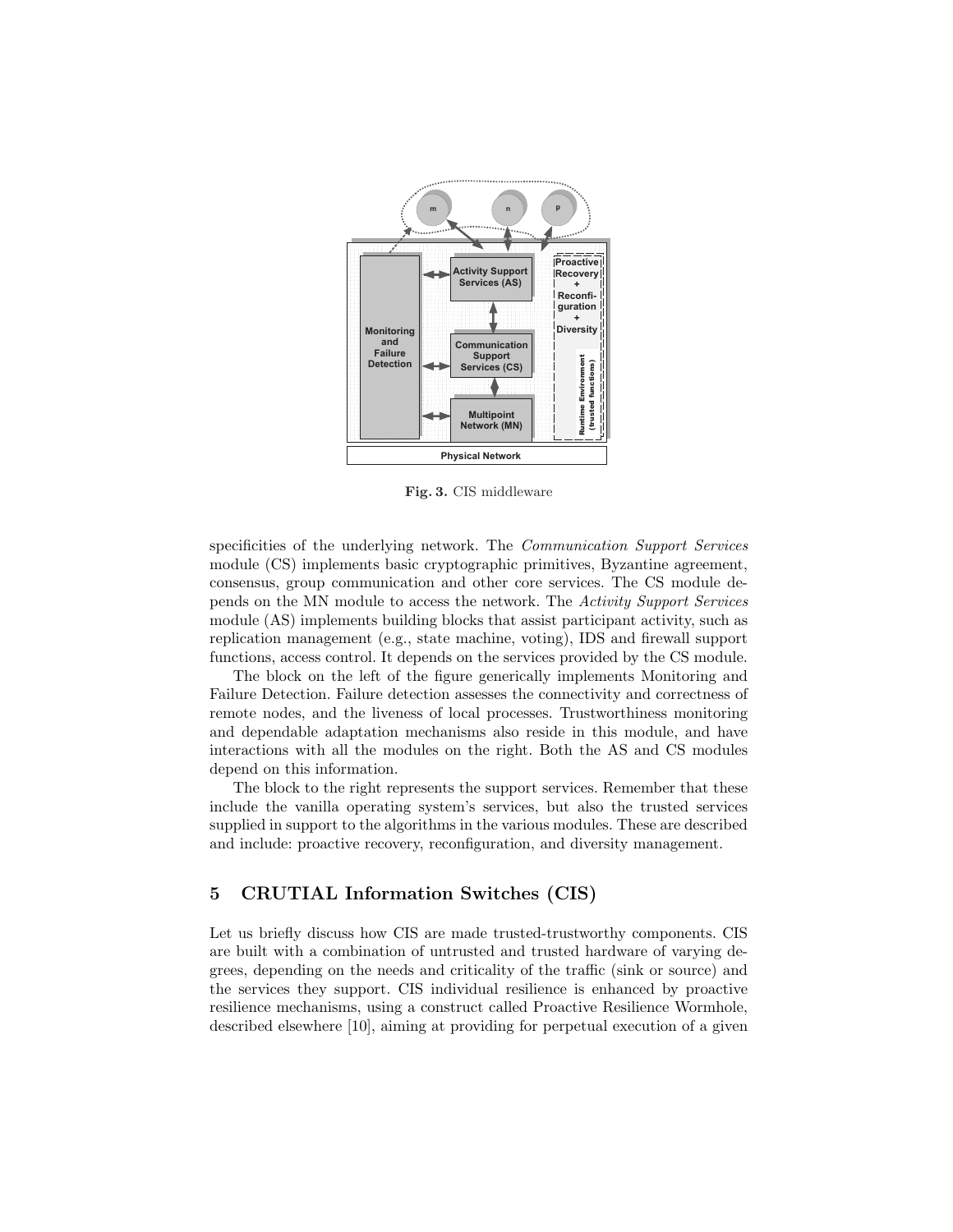

Fig. 3. CIS middleware

specificities of the underlying network. The *Communication Support Services* module (CS) implements basic cryptographic primitives, Byzantine agreement, consensus, group communication and other core services. The CS module depends on the MN module to access the network. The Activity Support Services module (AS) implements building blocks that assist participant activity, such as replication management (e.g., state machine, voting), IDS and firewall support functions, access control. It depends on the services provided by the CS module.

The block on the left of the figure generically implements Monitoring and Failure Detection. Failure detection assesses the connectivity and correctness of remote nodes, and the liveness of local processes. Trustworthiness monitoring and dependable adaptation mechanisms also reside in this module, and have interactions with all the modules on the right. Both the AS and CS modules depend on this information.

The block to the right represents the support services. Remember that these include the vanilla operating system's services, but also the trusted services supplied in support to the algorithms in the various modules. These are described and include: proactive recovery, reconfiguration, and diversity management.

# 5 CRUTIAL Information Switches (CIS)

Let us briefly discuss how CIS are made trusted-trustworthy components. CIS are built with a combination of untrusted and trusted hardware of varying degrees, depending on the needs and criticality of the traffic (sink or source) and the services they support. CIS individual resilience is enhanced by proactive resilience mechanisms, using a construct called Proactive Resilience Wormhole, described elsewhere [10], aiming at providing for perpetual execution of a given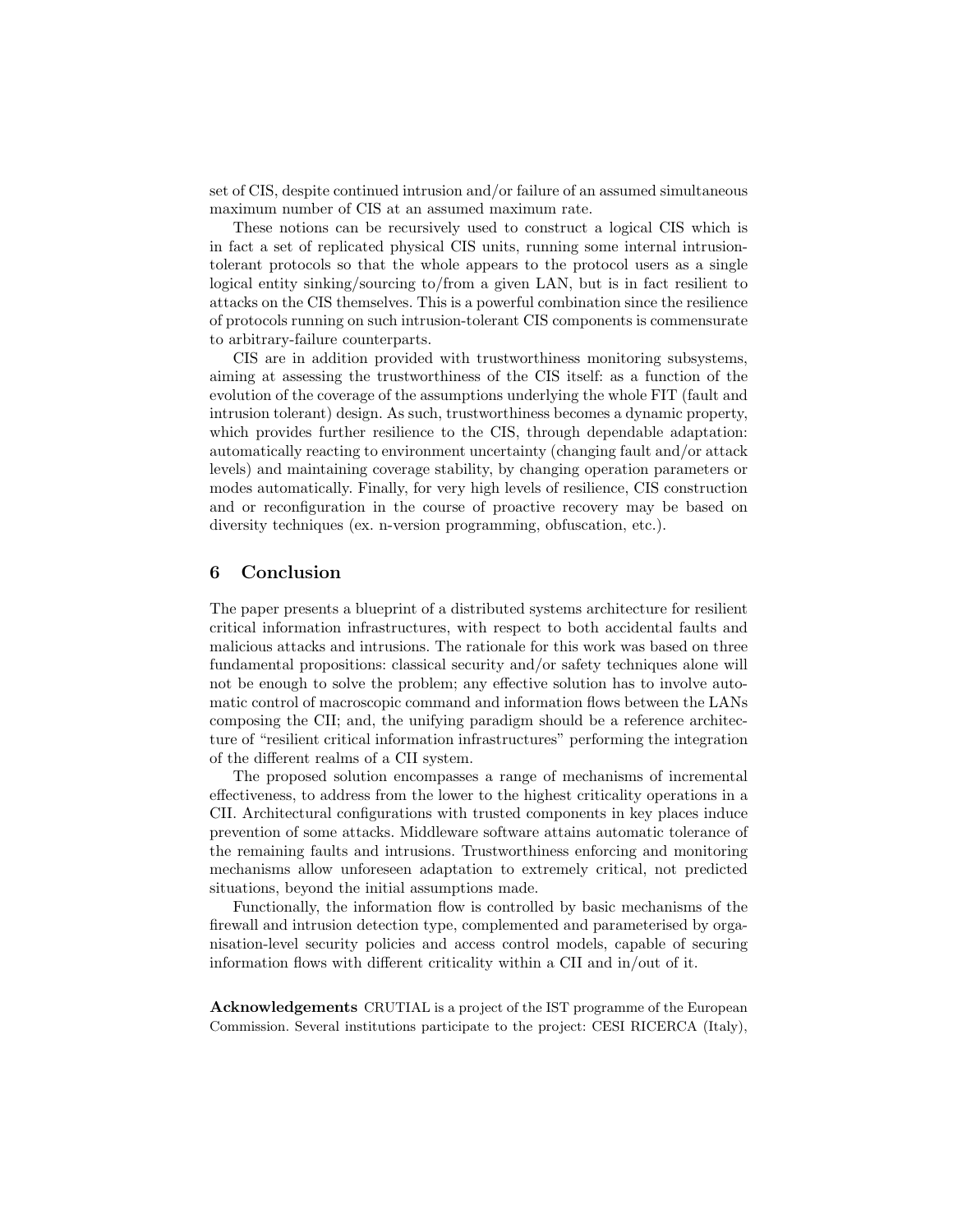set of CIS, despite continued intrusion and/or failure of an assumed simultaneous maximum number of CIS at an assumed maximum rate.

These notions can be recursively used to construct a logical CIS which is in fact a set of replicated physical CIS units, running some internal intrusiontolerant protocols so that the whole appears to the protocol users as a single logical entity sinking/sourcing to/from a given LAN, but is in fact resilient to attacks on the CIS themselves. This is a powerful combination since the resilience of protocols running on such intrusion-tolerant CIS components is commensurate to arbitrary-failure counterparts.

CIS are in addition provided with trustworthiness monitoring subsystems, aiming at assessing the trustworthiness of the CIS itself: as a function of the evolution of the coverage of the assumptions underlying the whole FIT (fault and intrusion tolerant) design. As such, trustworthiness becomes a dynamic property, which provides further resilience to the CIS, through dependable adaptation: automatically reacting to environment uncertainty (changing fault and/or attack levels) and maintaining coverage stability, by changing operation parameters or modes automatically. Finally, for very high levels of resilience, CIS construction and or reconfiguration in the course of proactive recovery may be based on diversity techniques (ex. n-version programming, obfuscation, etc.).

# 6 Conclusion

The paper presents a blueprint of a distributed systems architecture for resilient critical information infrastructures, with respect to both accidental faults and malicious attacks and intrusions. The rationale for this work was based on three fundamental propositions: classical security and/or safety techniques alone will not be enough to solve the problem; any effective solution has to involve automatic control of macroscopic command and information flows between the LANs composing the CII; and, the unifying paradigm should be a reference architecture of "resilient critical information infrastructures" performing the integration of the different realms of a CII system.

The proposed solution encompasses a range of mechanisms of incremental effectiveness, to address from the lower to the highest criticality operations in a CII. Architectural configurations with trusted components in key places induce prevention of some attacks. Middleware software attains automatic tolerance of the remaining faults and intrusions. Trustworthiness enforcing and monitoring mechanisms allow unforeseen adaptation to extremely critical, not predicted situations, beyond the initial assumptions made.

Functionally, the information flow is controlled by basic mechanisms of the firewall and intrusion detection type, complemented and parameterised by organisation-level security policies and access control models, capable of securing information flows with different criticality within a CII and in/out of it.

Acknowledgements CRUTIAL is a project of the IST programme of the European Commission. Several institutions participate to the project: CESI RICERCA (Italy),